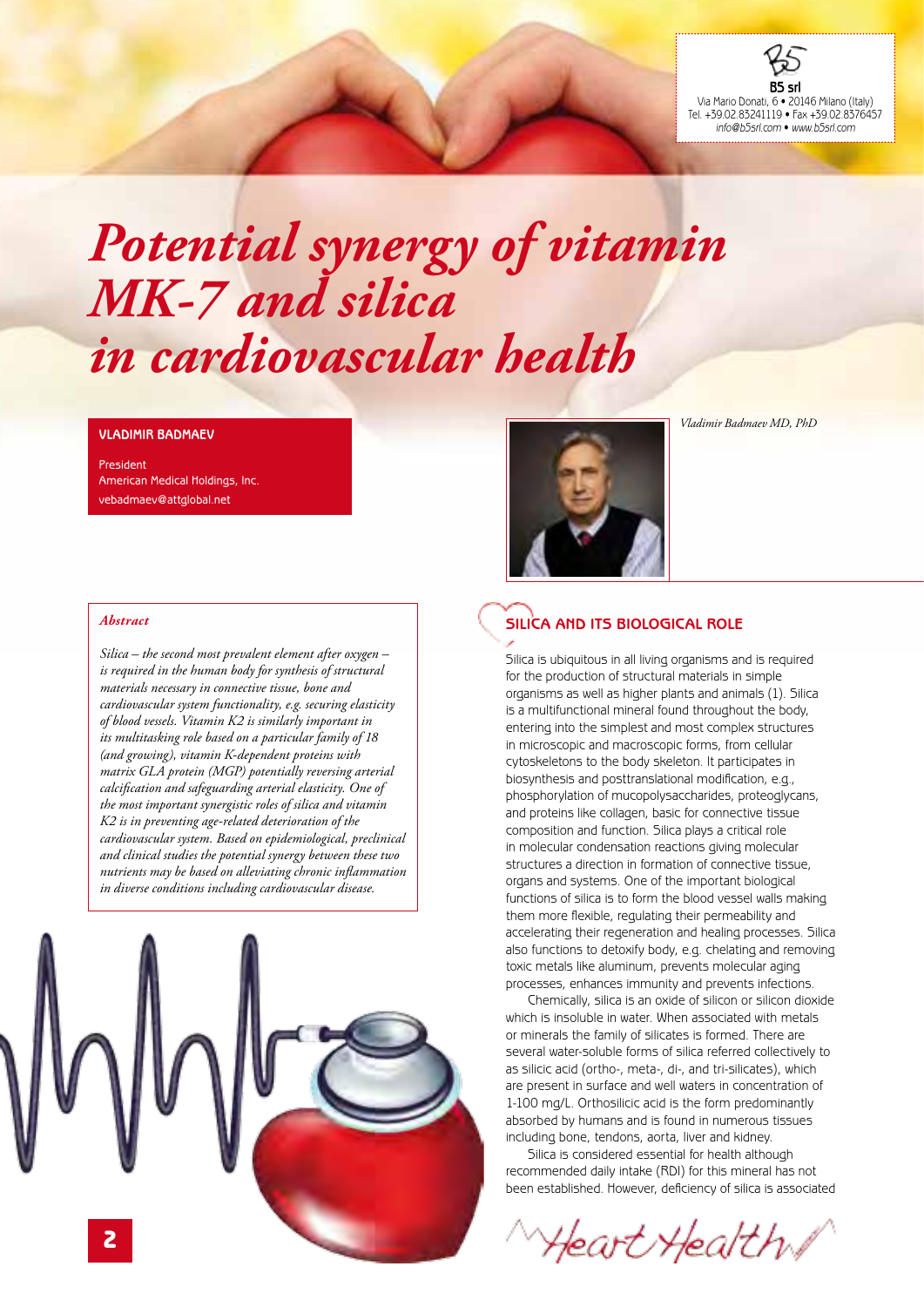

# *Potential synergy of vitamin MK-7 and silica in cardiovascular health*

#### **Vladimir Badmaev**

President American Medical Holdings, Inc. vebadmaev@attglobal.net

#### *Abstract*

*Silica – the second most prevalent element after oxygen – is required in the human body for synthesis of structural materials necessary in connective tissue, bone and cardiovascular system functionality, e.g. securing elasticity of blood vessels. Vitamin K2 is similarly important in its multitasking role based on a particular family of 18 (and growing), vitamin K-dependent proteins with matrix GLA protein (MGP) potentially reversing arterial calcification and safeguarding arterial elasticity. One of the most important synergistic roles of silica and vitamin K2 is in preventing age-related deterioration of the cardiovascular system. Based on epidemiological, preclinical and clinical studies the potential synergy between these two nutrients may be based on alleviating chronic inflammation in diverse conditions including cardiovascular disease.*





*Vladimir Badmaev MD, PhD*

### **Silica and its biological role**

Silica is ubiquitous in all living organisms and is required for the production of structural materials in simple organisms as well as higher plants and animals (1). Silica is a multifunctional mineral found throughout the body, entering into the simplest and most complex structures in microscopic and macroscopic forms, from cellular cytoskeletons to the body skeleton. It participates in biosynthesis and posttranslational modification, e.g., phosphorylation of mucopolysaccharides, proteoglycans, and proteins like collagen, basic for connective tissue composition and function. Silica plays a critical role in molecular condensation reactions giving molecular structures a direction in formation of connective tissue, organs and systems. One of the important biological functions of silica is to form the blood vessel walls making them more flexible, regulating their permeability and accelerating their regeneration and healing processes. Silica also functions to detoxify body, e.g. chelating and removing toxic metals like aluminum, prevents molecular aging processes, enhances immunity and prevents infections.

Chemically, silica is an oxide of silicon or silicon dioxide which is insoluble in water. When associated with metals or minerals the family of silicates is formed. There are several water-soluble forms of silica referred collectively to as silicic acid (ortho-, meta-, di-, and tri-silicates), which are present in surface and well waters in concentration of 1-100 mg/L. Orthosilicic acid is the form predominantly absorbed by humans and is found in numerous tissues including bone, tendons, aorta, liver and kidney.

Silica is considered essential for health although recommended daily intake (RDI) for this mineral has not been established. However, deficiency of silica is associated

*Heart Health I*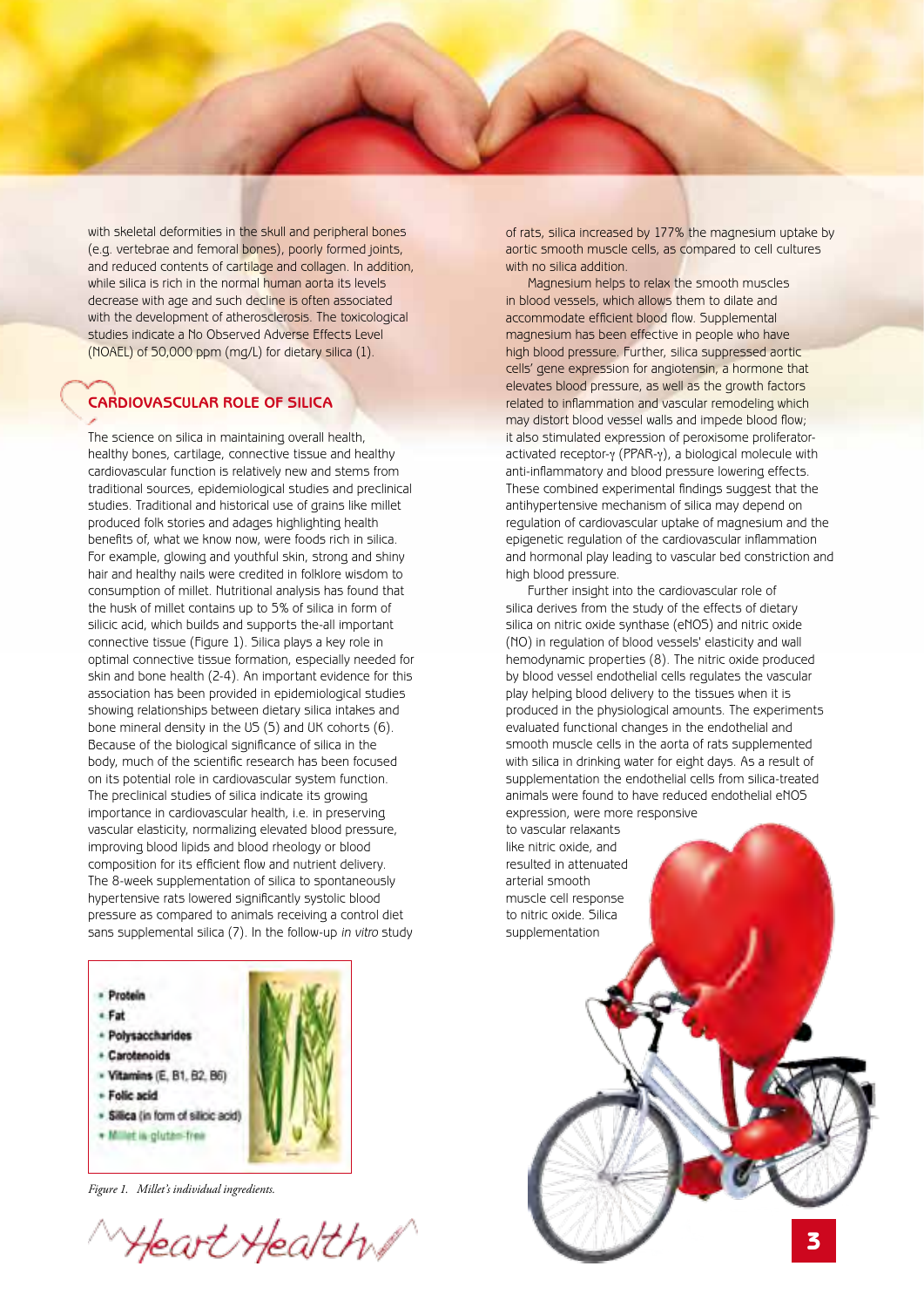with skeletal deformities in the skull and peripheral bones (e.g. vertebrae and femoral bones), poorly formed joints, and reduced contents of cartilage and collagen. In addition, while silica is rich in the normal human aorta its levels decrease with age and such decline is often associated with the development of atherosclerosis. The toxicological studies indicate a No Observed Adverse Effects Level (NOAEL) of 50,000 ppm (mg/L) for dietary silica (1).

## **Cardiovascular role of silica**

The science on silica in maintaining overall health, healthy bones, cartilage, connective tissue and healthy cardiovascular function is relatively new and stems from traditional sources, epidemiological studies and preclinical studies. Traditional and historical use of grains like millet produced folk stories and adages highlighting health benefits of, what we know now, were foods rich in silica. For example, glowing and youthful skin, strong and shiny hair and healthy nails were credited in folklore wisdom to consumption of millet. Nutritional analysis has found that the husk of millet contains up to 5% of silica in form of silicic acid, which builds and supports the-all important connective tissue (Figure 1). Silica plays a key role in optimal connective tissue formation, especially needed for skin and bone health (2-4). An important evidence for this association has been provided in epidemiological studies showing relationships between dietary silica intakes and bone mineral density in the US (5) and UK cohorts (6). Because of the biological significance of silica in the body, much of the scientific research has been focused on its potential role in cardiovascular system function. The preclinical studies of silica indicate its growing importance in cardiovascular health, i.e. in preserving vascular elasticity, normalizing elevated blood pressure, improving blood lipids and blood rheology or blood composition for its efficient flow and nutrient delivery. The 8-week supplementation of silica to spontaneously hypertensive rats lowered significantly systolic blood pressure as compared to animals receiving a control diet sans supplemental silica (7). In the follow-up *in vitro* study



- + Fat
- Polysaccharides
- + Carotenoids
- Vitamins (E, B1, B2, B6)
- Folic seid
- · Silica (in form of silicic acid)
- + Millet is gluten free



*Figure 1. Millet's individual ingredients.*

Heart Health

of rats, silica increased by 177% the magnesium uptake by aortic smooth muscle cells, as compared to cell cultures with no silica addition.

Magnesium helps to relax the smooth muscles in blood vessels, which allows them to dilate and accommodate efficient blood flow. Supplemental magnesium has been effective in people who have high blood pressure. Further, silica suppressed aortic cells' gene expression for angiotensin, a hormone that elevates blood pressure, as well as the growth factors related to inflammation and vascular remodeling which may distort blood vessel walls and impede blood flow; it also stimulated expression of peroxisome proliferatoractivated receptor-y (PPAR-y), a biological molecule with anti-inflammatory and blood pressure lowering effects. These combined experimental findings suggest that the antihypertensive mechanism of silica may depend on regulation of cardiovascular uptake of magnesium and the epigenetic regulation of the cardiovascular inflammation and hormonal play leading to vascular bed constriction and high blood pressure.

Further insight into the cardiovascular role of silica derives from the study of the effects of dietary silica on nitric oxide synthase (eNOS) and nitric oxide (NO) in regulation of blood vessels' elasticity and wall hemodynamic properties (8). The nitric oxide produced by blood vessel endothelial cells regulates the vascular play helping blood delivery to the tissues when it is produced in the physiological amounts. The experiments evaluated functional changes in the endothelial and smooth muscle cells in the aorta of rats supplemented with silica in drinking water for eight days. As a result of supplementation the endothelial cells from silica-treated animals were found to have reduced endothelial eNOS expression, were more responsive

to vascular relaxants like nitric oxide, and resulted in attenuated arterial smooth muscle cell response to nitric oxide. Silica supplementation

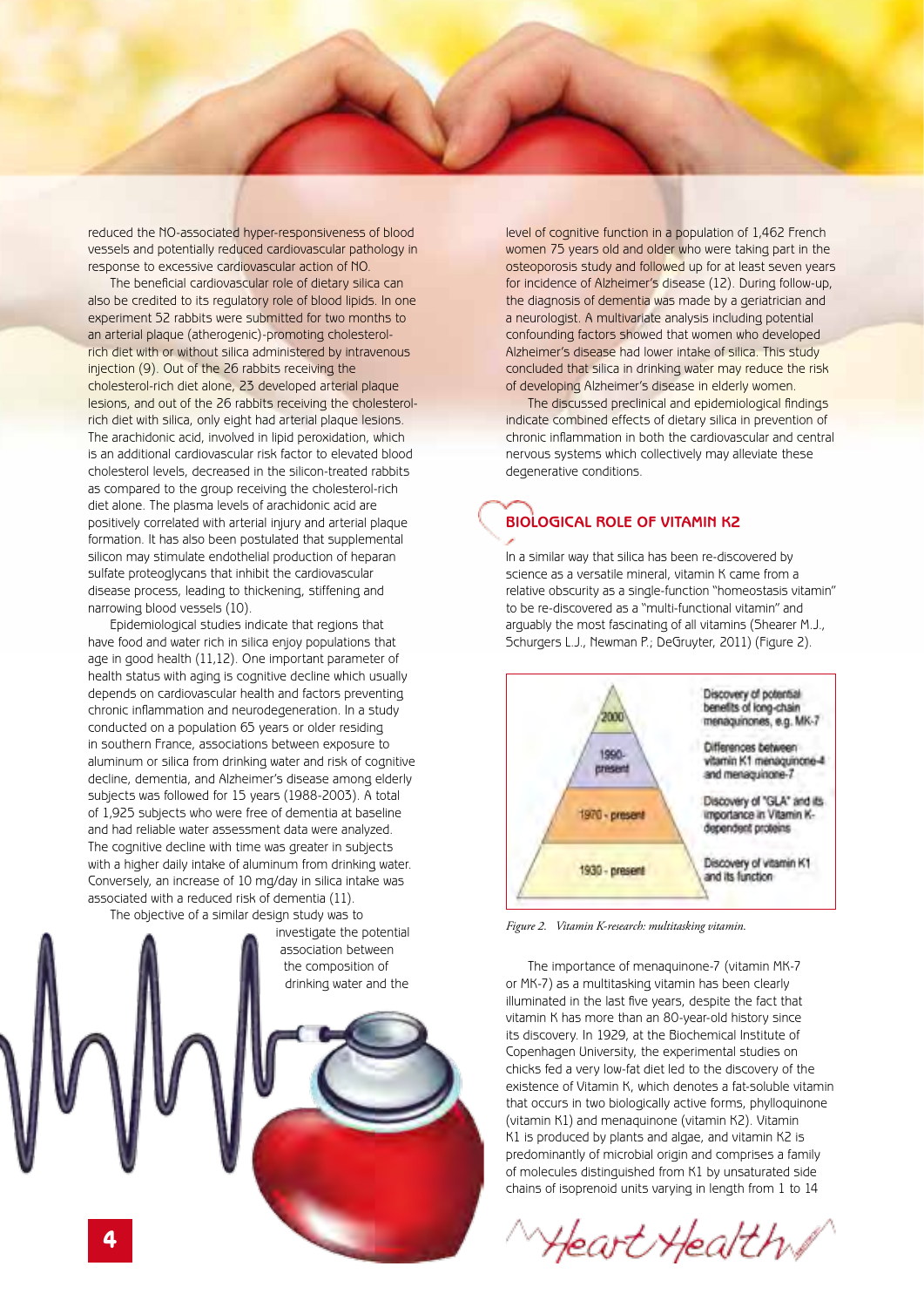reduced the NO-associated hyper-responsiveness of blood vessels and potentially reduced cardiovascular pathology in response to excessive cardiovascular action of NO.

The beneficial cardiovascular role of dietary silica can also be credited to its regulatory role of blood lipids. In one experiment 52 rabbits were submitted for two months to an arterial plaque (atherogenic)-promoting cholesterolrich diet with or without silica administered by intravenous injection (9). Out of the 26 rabbits receiving the cholesterol-rich diet alone, 23 developed arterial plaque lesions, and out of the 26 rabbits receiving the cholesterolrich diet with silica, only eight had arterial plaque lesions. The arachidonic acid, involved in lipid peroxidation, which is an additional cardiovascular risk factor to elevated blood cholesterol levels, decreased in the silicon-treated rabbits as compared to the group receiving the cholesterol-rich diet alone. The plasma levels of arachidonic acid are positively correlated with arterial injury and arterial plaque formation. It has also been postulated that supplemental silicon may stimulate endothelial production of heparan sulfate proteoglycans that inhibit the cardiovascular disease process, leading to thickening, stiffening and narrowing blood vessels (10).

Epidemiological studies indicate that regions that have food and water rich in silica enjoy populations that age in good health (11,12). One important parameter of health status with aging is cognitive decline which usually depends on cardiovascular health and factors preventing chronic inflammation and neurodegeneration. In a study conducted on a population 65 years or older residing in southern France, associations between exposure to aluminum or silica from drinking water and risk of cognitive decline, dementia, and Alzheimer's disease among elderly subjects was followed for 15 years (1988-2003). A total of 1,925 subjects who were free of dementia at baseline and had reliable water assessment data were analyzed. The cognitive decline with time was greater in subjects with a higher daily intake of aluminum from drinking water. Conversely, an increase of 10 mg/day in silica intake was associated with a reduced risk of dementia (11).

The objective of a similar design study was to



level of cognitive function in a population of 1,462 French women 75 years old and older who were taking part in the osteoporosis study and followed up for at least seven years for incidence of Alzheimer's disease (12). During follow-up, the diagnosis of dementia was made by a geriatrician and a neurologist. A multivariate analysis including potential confounding factors showed that women who developed Alzheimer's disease had lower intake of silica. This study concluded that silica in drinking water may reduce the risk of developing Alzheimer's disease in elderly women.

The discussed preclinical and epidemiological findings indicate combined effects of dietary silica in prevention of chronic inflammation in both the cardiovascular and central nervous systems which collectively may alleviate these degenerative conditions.

# **Biological role of vitamin K2**

In a similar way that silica has been re-discovered by science as a versatile mineral, vitamin K came from a relative obscurity as a single-function "homeostasis vitamin" to be re-discovered as a "multi-functional vitamin" and arguably the most fascinating of all vitamins (Shearer M.J., Schurgers L.J., Newman P.; DeGruyter, 2011) (Figure 2).



*Figure 2. Vitamin K-research: multitasking vitamin.*

The importance of menaquinone-7 (vitamin MK-7 or MK-7) as a multitasking vitamin has been clearly illuminated in the last five years, despite the fact that vitamin K has more than an 80-year-old history since its discovery. In 1929, at the Biochemical Institute of Copenhagen University, the experimental studies on chicks fed a very low-fat diet led to the discovery of the existence of Vitamin K, which denotes a fat-soluble vitamin that occurs in two biologically active forms, phylloquinone (vitamin K1) and menaquinone (vitamin K2). Vitamin K1 is produced by plants and algae, and vitamin K2 is predominantly of microbial origin and comprises a family of molecules distinguished from K1 by unsaturated side chains of isoprenoid units varying in length from 1 to 14

Heart Health /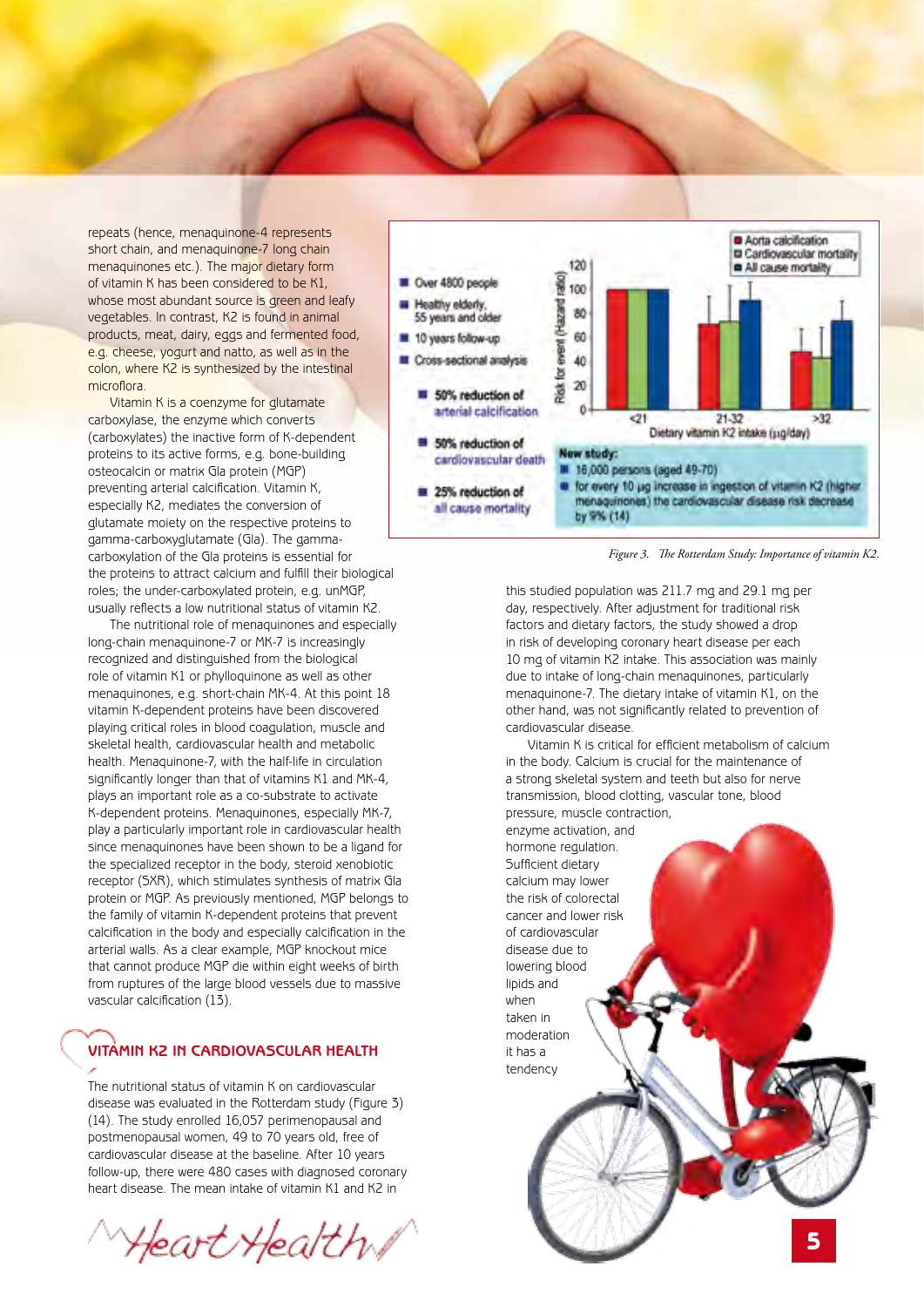repeats (hence, menaquinone-4 represents short chain, and menaquinone-7 long chain menaquinones etc.). The major dietary form of vitamin K has been considered to be K1, whose most abundant source is green and leafy vegetables. In contrast, K2 is found in animal products, meat, dairy, eggs and fermented food, e.g. cheese, yogurt and natto, as well as in the colon, where K2 is synthesized by the intestinal microflora.

Vitamin K is a coenzyme for glutamate carboxylase, the enzyme which converts (carboxylates) the inactive form of K-dependent proteins to its active forms, e.g. bone-building osteocalcin or matrix Gla protein (MGP) preventing arterial calcification. Vitamin K, especially K2, mediates the conversion of glutamate moiety on the respective proteins to gamma-carboxyglutamate (Gla). The gammacarboxylation of the Gla proteins is essential for the proteins to attract calcium and fulfill their biological roles; the under-carboxylated protein, e.g. unMGP, usually reflects a low nutritional status of vitamin K2.

The nutritional role of menaquinones and especially long-chain menaquinone-7 or MK-7 is increasingly recognized and distinguished from the biological role of vitamin K1 or phylloquinone as well as other menaquinones, e.g. short-chain MK-4. At this point 18 vitamin K-dependent proteins have been discovered playing critical roles in blood coagulation, muscle and skeletal health, cardiovascular health and metabolic health. Menaquinone-7, with the half-life in circulation significantly longer than that of vitamins K1 and MK-4, plays an important role as a co-substrate to activate K-dependent proteins. Menaquinones, especially MK-7, play a particularly important role in cardiovascular health since menaquinones have been shown to be a ligand for the specialized receptor in the body, steroid xenobiotic receptor (SXR), which stimulates synthesis of matrix Gla protein or MGP. As previously mentioned, MGP belongs to the family of vitamin K-dependent proteins that prevent calcification in the body and especially calcification in the arterial walls. As a clear example, MGP knockout mice that cannot produce MGP die within eight weeks of birth from ruptures of the large blood vessels due to massive vascular calcification (13).

# **Vitamin K2 in cardiovascular health**

The nutritional status of vitamin K on cardiovascular disease was evaluated in the Rotterdam study (Figure 3) (14). The study enrolled 16,057 perimenopausal and postmenopausal women, 49 to 70 years old, free of cardiovascular disease at the baseline. After 10 years follow-up, there were 480 cases with diagnosed coronary heart disease. The mean intake of vitamin K1 and K2 in

Heart Health /



*Figure 3. The Rotterdam Study: Importance of vitamin K2.*

this studied population was 211.7 mg and 29.1 mg per day, respectively. After adjustment for traditional risk factors and dietary factors, the study showed a drop in risk of developing coronary heart disease per each 10 mg of vitamin K2 intake. This association was mainly due to intake of long-chain menaquinones, particularly menaquinone-7. The dietary intake of vitamin K1, on the other hand, was not significantly related to prevention of cardiovascular disease.

Vitamin K is critical for efficient metabolism of calcium in the body. Calcium is crucial for the maintenance of a strong skeletal system and teeth but also for nerve transmission, blood clotting, vascular tone, blood pressure, muscle contraction, enzyme activation, and

hormone regulation. Sufficient dietary calcium may lower the risk of colorectal cancer and lower risk of cardiovascular disease due to lowering blood lipids and when taken in moderation it has a tendency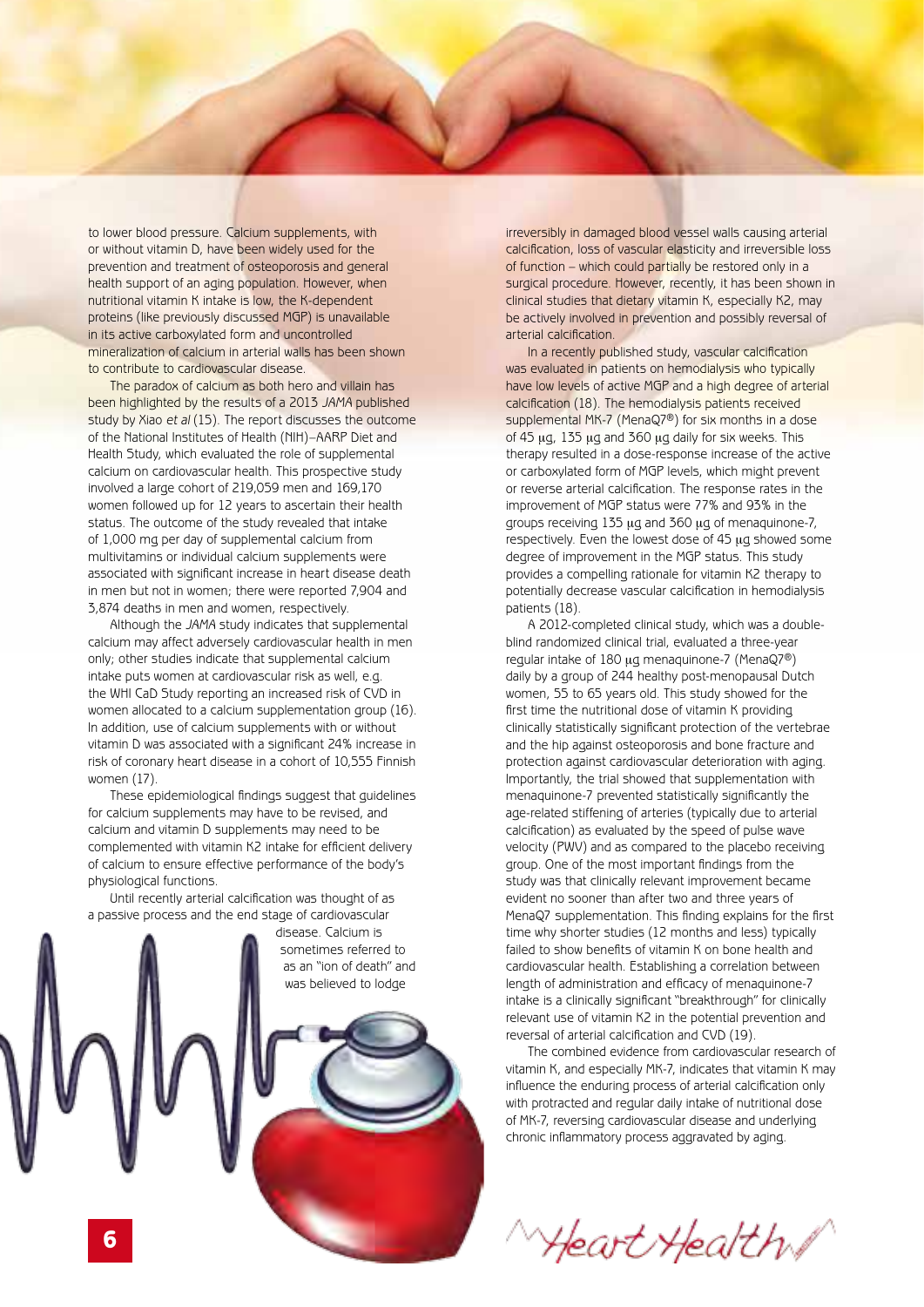to lower blood pressure. Calcium supplements, with or without vitamin D, have been widely used for the prevention and treatment of osteoporosis and general health support of an aging population. However, when nutritional vitamin K intake is low, the K-dependent proteins (like previously discussed MGP) is unavailable in its active carboxylated form and uncontrolled mineralization of calcium in arterial walls has been shown to contribute to cardiovascular disease.

The paradox of calcium as both hero and villain has been highlighted by the results of a 2013 *JAMA* published study by Xiao *et al* (15). The report discusses the outcome of the National Institutes of Health (NIH)–AARP Diet and Health Study, which evaluated the role of supplemental calcium on cardiovascular health. This prospective study involved a large cohort of 219,059 men and 169,170 women followed up for 12 years to ascertain their health status. The outcome of the study revealed that intake of 1,000 mg per day of supplemental calcium from multivitamins or individual calcium supplements were associated with significant increase in heart disease death in men but not in women; there were reported 7,904 and 3,874 deaths in men and women, respectively.

Although the *JAMA* study indicates that supplemental calcium may affect adversely cardiovascular health in men only; other studies indicate that supplemental calcium intake puts women at cardiovascular risk as well, e.g. the WHI CaD Study reporting an increased risk of CVD in women allocated to a calcium supplementation group (16). In addition, use of calcium supplements with or without vitamin D was associated with a significant 24% increase in risk of coronary heart disease in a cohort of 10,555 Finnish women (17).

These epidemiological findings suggest that guidelines for calcium supplements may have to be revised, and calcium and vitamin D supplements may need to be complemented with vitamin K2 intake for efficient delivery of calcium to ensure effective performance of the body's physiological functions.

Until recently arterial calcification was thought of as a passive process and the end stage of cardiovascular



irreversibly in damaged blood vessel walls causing arterial calcification, loss of vascular elasticity and irreversible loss of function – which could partially be restored only in a surgical procedure. However, recently, it has been shown in clinical studies that dietary vitamin K, especially K2, may be actively involved in prevention and possibly reversal of arterial calcification.

In a recently published study, vascular calcification was evaluated in patients on hemodialysis who typically have low levels of active MGP and a high degree of arterial calcification (18). The hemodialysis patients received supplemental MK-7 (MenaQ7<sup>®</sup>) for six months in a dose of 45  $\mu$ g, 135  $\mu$ g and 360  $\mu$ g daily for six weeks. This therapy resulted in a dose-response increase of the active or carboxylated form of MGP levels, which might prevent or reverse arterial calcification. The response rates in the improvement of MGP status were 77% and 93% in the groups receiving 135 µg and 360 µg of menaquinone-7, respectively. Even the lowest dose of 45 ug showed some degree of improvement in the MGP status. This study provides a compelling rationale for vitamin K2 therapy to potentially decrease vascular calcification in hemodialysis patients (18).

A 2012-completed clinical study, which was a doubleblind randomized clinical trial, evaluated a three-year regular intake of 180 µg menaquinone-7 (MenaQ7<sup>®</sup>) daily by a group of 244 healthy post-menopausal Dutch women, 55 to 65 years old. This study showed for the first time the nutritional dose of vitamin K providing clinically statistically significant protection of the vertebrae and the hip against osteoporosis and bone fracture and protection against cardiovascular deterioration with aging. Importantly, the trial showed that supplementation with menaquinone-7 prevented statistically significantly the age-related stiffening of arteries (typically due to arterial calcification) as evaluated by the speed of pulse wave velocity (PWV) and as compared to the placebo receiving group. One of the most important findings from the study was that clinically relevant improvement became evident no sooner than after two and three years of MenaQ7 supplementation. This finding explains for the first time why shorter studies (12 months and less) typically failed to show benefits of vitamin K on bone health and cardiovascular health. Establishing a correlation between length of administration and efficacy of menaquinone-7 intake is a clinically significant "breakthrough" for clinically relevant use of vitamin K2 in the potential prevention and reversal of arterial calcification and CVD (19).

The combined evidence from cardiovascular research of vitamin K, and especially MK-7, indicates that vitamin K may influence the enduring process of arterial calcification only with protracted and regular daily intake of nutritional dose of MK-7, reversing cardiovascular disease and underlying chronic inflammatory process aggravated by aging.

Heart Health /